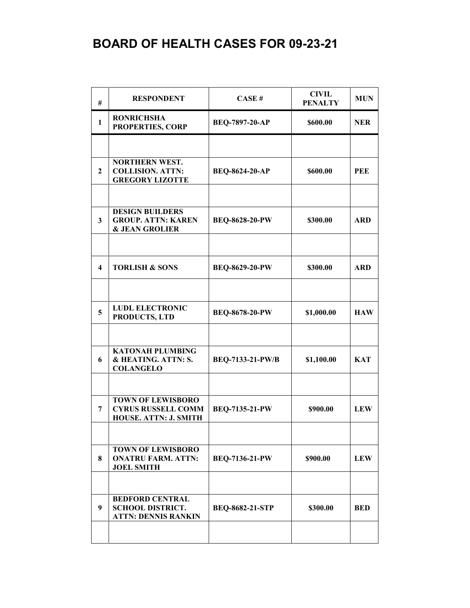| #            | <b>RESPONDENT</b>                                                                | CASE#                   | <b>CIVIL</b><br><b>PENALTY</b> | <b>MUN</b> |
|--------------|----------------------------------------------------------------------------------|-------------------------|--------------------------------|------------|
| $\mathbf{1}$ | <b>RONRICHSHA</b><br>PROPERTIES, CORP                                            | <b>BEQ-7897-20-AP</b>   | \$600.00                       | <b>NER</b> |
|              |                                                                                  |                         |                                |            |
| 2            | <b>NORTHERN WEST.</b><br><b>COLLISION. ATTN:</b><br><b>GREGORY LIZOTTE</b>       | <b>BEQ-8624-20-AP</b>   | \$600.00                       | PEE        |
|              |                                                                                  |                         |                                |            |
| 3            | <b>DESIGN BUILDERS</b><br><b>GROUP. ATTN: KAREN</b><br><b>&amp; JEAN GROLIER</b> | <b>BEQ-8628-20-PW</b>   | \$300.00                       | <b>ARD</b> |
|              |                                                                                  |                         |                                |            |
| 4            | <b>TORLISH &amp; SONS</b>                                                        | <b>BEQ-8629-20-PW</b>   | \$300.00                       | <b>ARD</b> |
|              |                                                                                  |                         |                                |            |
| 5            | <b>LUDL ELECTRONIC</b><br>PRODUCTS, LTD                                          | <b>BEQ-8678-20-PW</b>   | \$1,000.00                     | <b>HAW</b> |
|              |                                                                                  |                         |                                |            |
| 6            | <b>KATONAH PLUMBING</b><br>& HEATING. ATTN: S.<br><b>COLANGELO</b>               | <b>BEQ-7133-21-PW/B</b> | \$1,100.00                     | <b>KAT</b> |
|              |                                                                                  |                         |                                |            |
| 7            | <b>TOWN OF LEWISBORO</b><br><b>CYRUS RUSSELL COMM</b><br>HOUSE. ATTN: J. SMITH   | <b>BEQ-7135-21-PW</b>   | \$900.00                       | <b>LEW</b> |
|              |                                                                                  |                         |                                |            |
| 8            | <b>TOWN OF LEWISBORO</b><br><b>ONATRU FARM. ATTN:</b><br><b>JOEL SMITH</b>       | <b>BEQ-7136-21-PW</b>   | \$900.00                       | <b>LEW</b> |
|              |                                                                                  |                         |                                |            |
| 9            | <b>BEDFORD CENTRAL</b><br><b>SCHOOL DISTRICT.</b><br><b>ATTN: DENNIS RANKIN</b>  | <b>BEQ-8682-21-STP</b>  | \$300.00                       | <b>BED</b> |
|              |                                                                                  |                         |                                |            |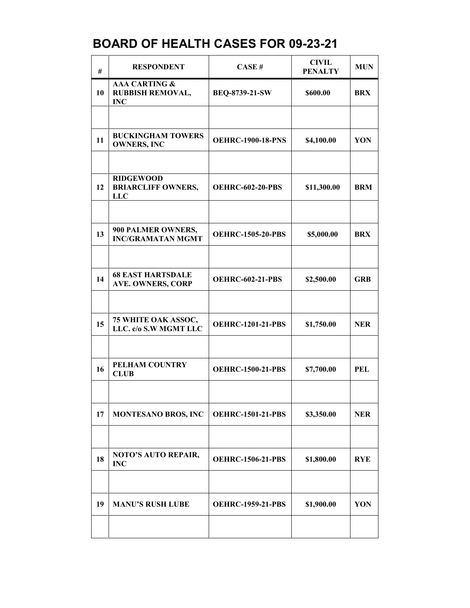| $\#$ | <b>RESPONDENT</b>                                          | CASE#                    | <b>CIVIL</b><br><b>PENALTY</b> | <b>MUN</b> |
|------|------------------------------------------------------------|--------------------------|--------------------------------|------------|
| 10   | <b>AAA CARTING &amp;</b><br>RUBBISH REMOVAL,<br><b>INC</b> | <b>BEQ-8739-21-SW</b>    | \$600.00                       | <b>BRX</b> |
|      |                                                            |                          |                                |            |
| 11   | <b>BUCKINGHAM TOWERS</b><br><b>OWNERS, INC</b>             | <b>OEHRC-1900-18-PNS</b> | \$4,100.00                     | YON        |
|      |                                                            |                          |                                |            |
| 12   | <b>RIDGEWOOD</b><br><b>BRIARCLIFF OWNERS,</b><br>LLC       | <b>OEHRC-602-20-PBS</b>  | \$11,300.00                    | <b>BRM</b> |
|      |                                                            |                          |                                |            |
| 13   | 900 PALMER OWNERS,<br><b>INC/GRAMATAN MGMT</b>             | <b>OEHRC-1505-20-PBS</b> | \$5,000.00                     | <b>BRX</b> |
|      |                                                            |                          |                                |            |
| 14   | <b>68 EAST HARTSDALE</b><br><b>AVE. OWNERS, CORP</b>       | <b>OEHRC-602-21-PBS</b>  | \$2,500.00                     | <b>GRB</b> |
|      |                                                            |                          |                                |            |
| 15   | 75 WHITE OAK ASSOC,<br>LLC. c/o S.W MGMT LLC               | <b>OEHRC-1201-21-PBS</b> | \$1,750.00                     | <b>NER</b> |
|      |                                                            |                          |                                |            |
| 16   | PELHAM COUNTRY<br><b>CLUB</b>                              | <b>OEHRC-1500-21-PBS</b> | \$7,700.00                     | <b>PEL</b> |
|      |                                                            |                          |                                |            |
| 17   | <b>MONTESANO BROS, INC</b>                                 | <b>OEHRC-1501-21-PBS</b> | \$3,350.00                     | <b>NER</b> |
|      |                                                            |                          |                                |            |
| 18   | NOTO'S AUTO REPAIR,<br><b>INC</b>                          | <b>OEHRC-1506-21-PBS</b> | \$1,800.00                     | <b>RYE</b> |
|      |                                                            |                          |                                |            |
| 19   | <b>MANU'S RUSH LUBE</b>                                    | <b>OEHRC-1959-21-PBS</b> | \$1,900.00                     | YON        |
|      |                                                            |                          |                                |            |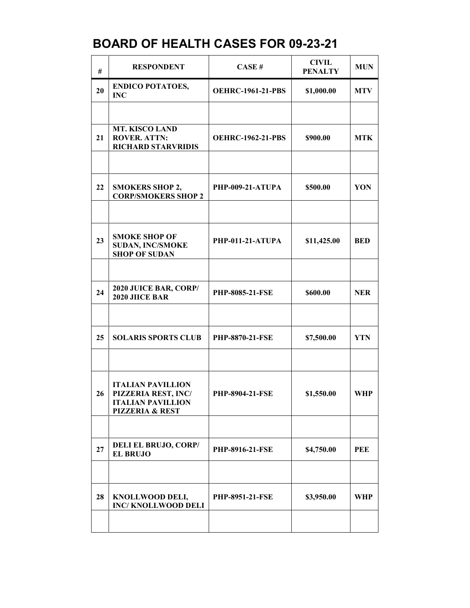| #  | <b>RESPONDENT</b>                                                                                         | CASE#                    | <b>CIVIL</b><br><b>PENALTY</b> | <b>MUN</b> |
|----|-----------------------------------------------------------------------------------------------------------|--------------------------|--------------------------------|------------|
| 20 | <b>ENDICO POTATOES,</b><br><b>INC</b>                                                                     | <b>OEHRC-1961-21-PBS</b> | \$1,000.00                     | <b>MTV</b> |
|    |                                                                                                           |                          |                                |            |
| 21 | <b>MT. KISCO LAND</b><br><b>ROVER. ATTN:</b><br><b>RICHARD STARVRIDIS</b>                                 | <b>OEHRC-1962-21-PBS</b> | \$900.00                       | <b>MTK</b> |
|    |                                                                                                           |                          |                                |            |
| 22 | <b>SMOKERS SHOP 2,</b><br><b>CORP/SMOKERS SHOP 2</b>                                                      | PHP-009-21-ATUPA         | \$500.00                       | YON        |
|    |                                                                                                           |                          |                                |            |
| 23 | <b>SMOKE SHOP OF</b><br><b>SUDAN, INC/SMOKE</b><br><b>SHOP OF SUDAN</b>                                   | PHP-011-21-ATUPA         | \$11,425.00                    | <b>BED</b> |
|    |                                                                                                           |                          |                                |            |
| 24 | 2020 JUICE BAR, CORP/<br>2020 JIICE BAR                                                                   | <b>PHP-8085-21-FSE</b>   | \$600.00                       | <b>NER</b> |
|    |                                                                                                           |                          |                                |            |
| 25 | <b>SOLARIS SPORTS CLUB</b>                                                                                | PHP-8870-21-FSE          | \$7,500.00                     | <b>YTN</b> |
|    |                                                                                                           |                          |                                |            |
| 26 | <b>ITALIAN PAVILLION</b><br>PIZZERIA REST, INC/<br><b>ITALIAN PAVILLION</b><br><b>PIZZERIA &amp; REST</b> | <b>PHP-8904-21-FSE</b>   | \$1,550.00                     | WHP        |
|    |                                                                                                           |                          |                                |            |
| 27 | <b>DELI EL BRUJO, CORP/</b><br><b>EL BRUJO</b>                                                            | <b>PHP-8916-21-FSE</b>   | \$4,750.00                     | PEE        |
|    |                                                                                                           |                          |                                |            |
| 28 | KNOLLWOOD DELI,<br><b>INC/KNOLLWOOD DELI</b>                                                              | <b>PHP-8951-21-FSE</b>   | \$3,950.00                     | WHP        |
|    |                                                                                                           |                          |                                |            |